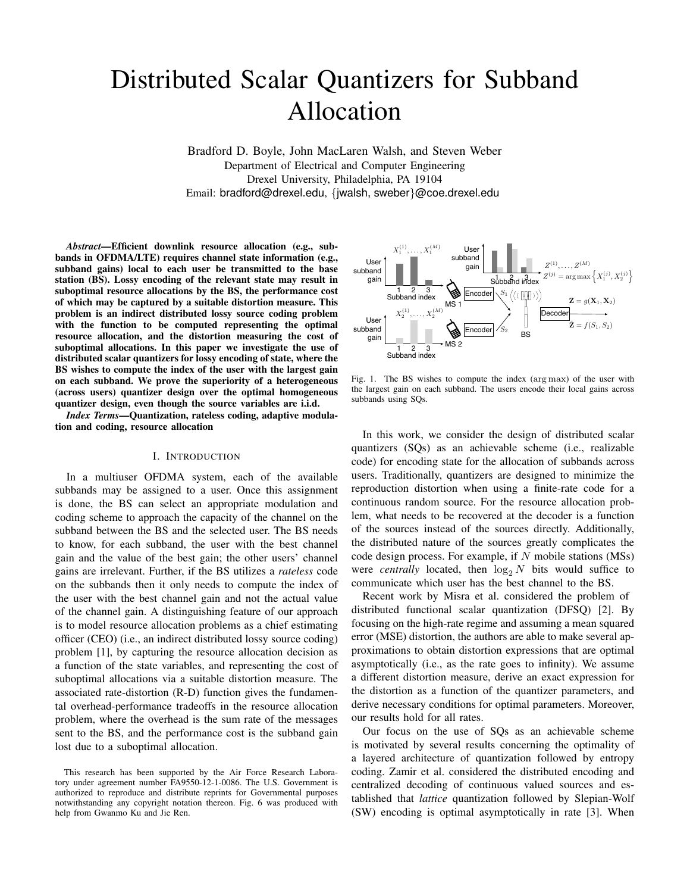# Distributed Scalar Quantizers for Subband Allocation

Bradford D. Boyle, John MacLaren Walsh, and Steven Weber Department of Electrical and Computer Engineering Drexel University, Philadelphia, PA 19104 Email: bradford@drexel.edu, {jwalsh, sweber}@coe.drexel.edu

*Abstract*—Efficient downlink resource allocation (e.g., subbands in OFDMA/LTE) requires channel state information (e.g., subband gains) local to each user be transmitted to the base station (BS). Lossy encoding of the relevant state may result in suboptimal resource allocations by the BS, the performance cost of which may be captured by a suitable distortion measure. This problem is an indirect distributed lossy source coding problem with the function to be computed representing the optimal resource allocation, and the distortion measuring the cost of suboptimal allocations. In this paper we investigate the use of distributed scalar quantizers for lossy encoding of state, where the BS wishes to compute the index of the user with the largest gain on each subband. We prove the superiority of a heterogeneous (across users) quantizer design over the optimal homogeneous quantizer design, even though the source variables are i.i.d.

*Index Terms*—Quantization, rateless coding, adaptive modulation and coding, resource allocation

#### I. INTRODUCTION

In a multiuser OFDMA system, each of the available subbands may be assigned to a user. Once this assignment is done, the BS can select an appropriate modulation and coding scheme to approach the capacity of the channel on the subband between the BS and the selected user. The BS needs to know, for each subband, the user with the best channel gain and the value of the best gain; the other users' channel gains are irrelevant. Further, if the BS utilizes a *rateless* code on the subbands then it only needs to compute the index of the user with the best channel gain and not the actual value of the channel gain. A distinguishing feature of our approach is to model resource allocation problems as a chief estimating officer (CEO) (i.e., an indirect distributed lossy source coding) problem [1], by capturing the resource allocation decision as a function of the state variables, and representing the cost of suboptimal allocations via a suitable distortion measure. The associated rate-distortion (R-D) function gives the fundamental overhead-performance tradeoffs in the resource allocation problem, where the overhead is the sum rate of the messages sent to the BS, and the performance cost is the subband gain lost due to a suboptimal allocation.



Fig. 1. The BS wishes to compute the index (arg max) of the user with the largest gain on each subband. The users encode their local gains across subbands using SQs.

In this work, we consider the design of distributed scalar quantizers (SQs) as an achievable scheme (i.e., realizable code) for encoding state for the allocation of subbands across users. Traditionally, quantizers are designed to minimize the reproduction distortion when using a finite-rate code for a continuous random source. For the resource allocation problem, what needs to be recovered at the decoder is a function of the sources instead of the sources directly. Additionally, the distributed nature of the sources greatly complicates the code design process. For example, if N mobile stations (MSs) were *centrally* located, then  $\log_2 N$  bits would suffice to communicate which user has the best channel to the BS.

Recent work by Misra et al. considered the problem of distributed functional scalar quantization (DFSQ) [2]. By focusing on the high-rate regime and assuming a mean squared error (MSE) distortion, the authors are able to make several approximations to obtain distortion expressions that are optimal asymptotically (i.e., as the rate goes to infinity). We assume a different distortion measure, derive an exact expression for the distortion as a function of the quantizer parameters, and derive necessary conditions for optimal parameters. Moreover, our results hold for all rates.

Our focus on the use of SQs as an achievable scheme is motivated by several results concerning the optimality of a layered architecture of quantization followed by entropy coding. Zamir et al. considered the distributed encoding and centralized decoding of continuous valued sources and established that *lattice* quantization followed by Slepian-Wolf (SW) encoding is optimal asymptotically in rate [3]. When

This research has been supported by the Air Force Research Laboratory under agreement number FA9550-12-1-0086. The U.S. Government is authorized to reproduce and distribute reprints for Governmental purposes notwithstanding any copyright notation thereon. Fig. 6 was produced with help from Gwanmo Ku and Jie Ren.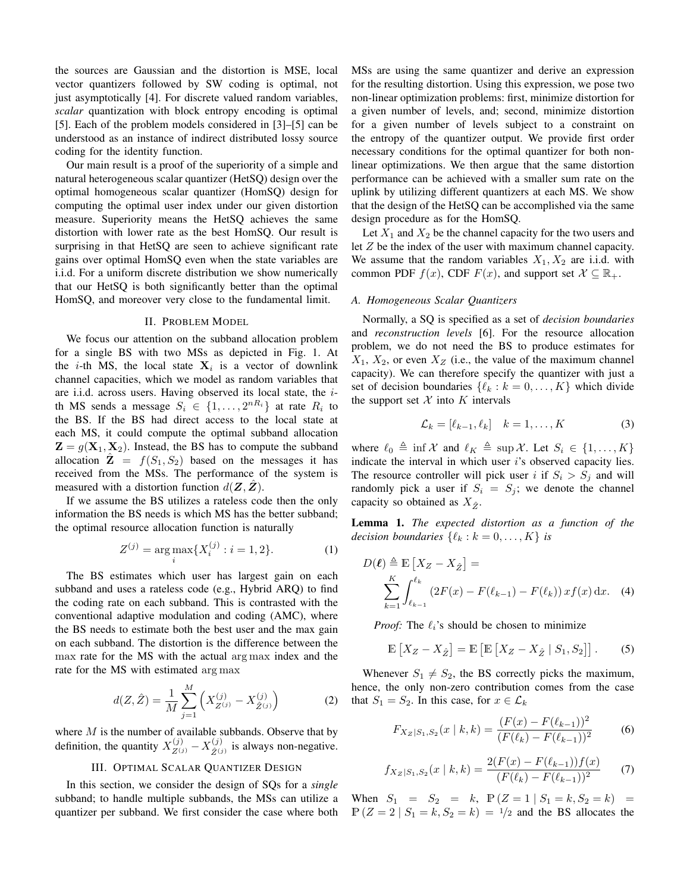the sources are Gaussian and the distortion is MSE, local vector quantizers followed by SW coding is optimal, not just asymptotically [4]. For discrete valued random variables, *scalar* quantization with block entropy encoding is optimal [5]. Each of the problem models considered in [3]–[5] can be understood as an instance of indirect distributed lossy source coding for the identity function.

Our main result is a proof of the superiority of a simple and natural heterogeneous scalar quantizer (HetSQ) design over the optimal homogeneous scalar quantizer (HomSQ) design for computing the optimal user index under our given distortion measure. Superiority means the HetSQ achieves the same distortion with lower rate as the best HomSQ. Our result is surprising in that HetSQ are seen to achieve significant rate gains over optimal HomSQ even when the state variables are i.i.d. For a uniform discrete distribution we show numerically that our HetSQ is both significantly better than the optimal HomSQ, and moreover very close to the fundamental limit.

## II. PROBLEM MODEL

We focus our attention on the subband allocation problem for a single BS with two MSs as depicted in Fig. 1. At the *i*-th MS, the local state  $X_i$  is a vector of downlink channel capacities, which we model as random variables that are i.i.d. across users. Having observed its local state, the ith MS sends a message  $S_i \in \{1, ..., 2^{nR_i}\}\$ at rate  $R_i$  to the BS. If the BS had direct access to the local state at each MS, it could compute the optimal subband allocation  $\mathbf{Z} = g(\mathbf{X}_1, \mathbf{X}_2)$ . Instead, the BS has to compute the subband allocation  $\mathbf{Z} = f(S_1, S_2)$  based on the messages it has received from the MSs. The performance of the system is measured with a distortion function  $d(\mathbf{Z}, \mathbf{Z})$ .

If we assume the BS utilizes a rateless code then the only information the BS needs is which MS has the better subband; the optimal resource allocation function is naturally

$$
Z^{(j)} = \arg \max_{i} \{ X_i^{(j)} : i = 1, 2 \}.
$$
 (1)

The BS estimates which user has largest gain on each subband and uses a rateless code (e.g., Hybrid ARQ) to find the coding rate on each subband. This is contrasted with the conventional adaptive modulation and coding (AMC), where the BS needs to estimate both the best user and the max gain on each subband. The distortion is the difference between the max rate for the MS with the actual arg max index and the rate for the MS with estimated arg max

$$
d(Z, \hat{Z}) = \frac{1}{M} \sum_{j=1}^{M} \left( X_{Z^{(j)}}^{(j)} - X_{\hat{Z}^{(j)}}^{(j)} \right)
$$
(2)

where  $M$  is the number of available subbands. Observe that by definition, the quantity  $X_{Z^{(j)}}^{(j)} - X_{\hat{Z}^{(j)}}^{(j)}$  $\hat{Z}^{(j)}$  is always non-negative.

## III. OPTIMAL SCALAR QUANTIZER DESIGN

In this section, we consider the design of SQs for a *single* subband; to handle multiple subbands, the MSs can utilize a quantizer per subband. We first consider the case where both MSs are using the same quantizer and derive an expression for the resulting distortion. Using this expression, we pose two non-linear optimization problems: first, minimize distortion for a given number of levels, and; second, minimize distortion for a given number of levels subject to a constraint on the entropy of the quantizer output. We provide first order necessary conditions for the optimal quantizer for both nonlinear optimizations. We then argue that the same distortion performance can be achieved with a smaller sum rate on the uplink by utilizing different quantizers at each MS. We show that the design of the HetSQ can be accomplished via the same design procedure as for the HomSQ.

Let  $X_1$  and  $X_2$  be the channel capacity for the two users and let Z be the index of the user with maximum channel capacity. We assume that the random variables  $X_1, X_2$  are i.i.d. with common PDF  $f(x)$ , CDF  $F(x)$ , and support set  $\mathcal{X} \subseteq \mathbb{R}_+$ .

#### *A. Homogeneous Scalar Quantizers*

Normally, a SQ is specified as a set of *decision boundaries* and *reconstruction levels* [6]. For the resource allocation problem, we do not need the BS to produce estimates for  $X_1, X_2$ , or even  $X_Z$  (i.e., the value of the maximum channel capacity). We can therefore specify the quantizer with just a set of decision boundaries  $\{\ell_k : k = 0, \ldots, K\}$  which divide the support set  $X$  into  $K$  intervals

$$
\mathcal{L}_k = [\ell_{k-1}, \ell_k] \quad k = 1, \dots, K \tag{3}
$$

where  $\ell_0 \triangleq \inf \mathcal{X}$  and  $\ell_K \triangleq \sup \mathcal{X}$ . Let  $S_i \in \{1, ..., K\}$ indicate the interval in which user  $i$ 's observed capacity lies. The resource controller will pick user i if  $S_i > S_j$  and will randomly pick a user if  $S_i = S_j$ ; we denote the channel capacity so obtained as  $X_{\hat{z}}$ .

Lemma 1. *The expected distortion as a function of the decision boundaries*  $\{\ell_k : k = 0, \ldots, K\}$  *is* 

$$
D(\ell) \triangleq \mathbb{E}\left[X_Z - X_{\hat{Z}}\right] =
$$
  

$$
\sum_{k=1}^{K} \int_{\ell_{k-1}}^{\ell_k} \left(2F(x) - F(\ell_{k-1}) - F(\ell_k)\right) x f(x) \, dx. \quad (4)
$$

*Proof:* The  $\ell_i$ 's should be chosen to minimize

$$
\mathbb{E}\left[X_Z - X_{\hat{Z}}\right] = \mathbb{E}\left[\mathbb{E}\left[X_Z - X_{\hat{Z}} \mid S_1, S_2\right]\right].\tag{5}
$$

Whenever  $S_1 \neq S_2$ , the BS correctly picks the maximum, hence, the only non-zero contribution comes from the case that  $S_1 = S_2$ . In this case, for  $x \in \mathcal{L}_k$ 

$$
F_{X_Z|S_1,S_2}(x \mid k,k) = \frac{(F(x) - F(\ell_{k-1}))^2}{(F(\ell_k) - F(\ell_{k-1}))^2}
$$
(6)

$$
f_{X_Z|S_1,S_2}(x \mid k,k) = \frac{2(F(x) - F(\ell_{k-1}))f(x)}{(F(\ell_k) - F(\ell_{k-1}))^2} \tag{7}
$$

When  $S_1 = S_2 = k$ ,  $\mathbb{P}(Z = 1 | S_1 = k, S_2 = k) =$  $P(Z = 2 | S_1 = k, S_2 = k) = 1/2$  and the BS allocates the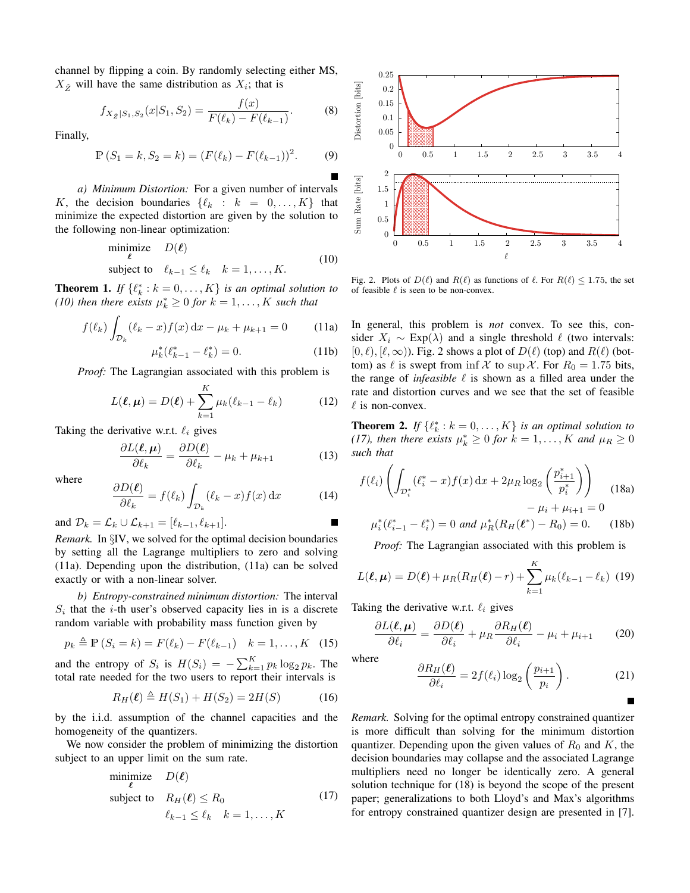channel by flipping a coin. By randomly selecting either MS,  $X_{\hat{Z}}$  will have the same distribution as  $X_i$ ; that is

$$
f_{X_{\hat{Z}}|S_1,S_2}(x|S_1,S_2) = \frac{f(x)}{F(\ell_k) - F(\ell_{k-1})}.
$$
 (8)

Finally,

$$
\mathbb{P}(S_1 = k, S_2 = k) = (F(\ell_k) - F(\ell_{k-1}))^2.
$$
 (9)

*a) Minimum Distortion:* For a given number of intervals K, the decision boundaries  $\{ \ell_k : k = 0, \ldots, K \}$  that minimize the expected distortion are given by the solution to the following non-linear optimization:

$$
\begin{array}{ll}\text{minimize} & D(\ell) \\ \text{subject to} & \ell_{k-1} \le \ell_k \quad k = 1, \dots, K. \end{array} \tag{10}
$$

**Theorem 1.** *If*  $\{\ell_k^* : k = 0, \ldots, K\}$  *is an optimal solution to* (10) then there exists  $\mu_k^* \geq 0$  for  $k = 1, ..., K$  such that

$$
f(\ell_k) \int_{\mathcal{D}_k} (\ell_k - x) f(x) \, dx - \mu_k + \mu_{k+1} = 0 \tag{11a}
$$

$$
\mu_k^*(\ell_{k-1}^* - \ell_k^*) = 0.
$$
 (11b)

*Proof:* The Lagrangian associated with this problem is

$$
L(\ell, \mu) = D(\ell) + \sum_{k=1}^{K} \mu_k (\ell_{k-1} - \ell_k)
$$
 (12)

Taking the derivative w.r.t.  $\ell_i$  gives

$$
\frac{\partial L(\ell, \mu)}{\partial \ell_k} = \frac{\partial D(\ell)}{\partial \ell_k} - \mu_k + \mu_{k+1}
$$
(13)

where

$$
\frac{\partial D(\ell)}{\partial \ell_k} = f(\ell_k) \int_{\mathcal{D}_k} (\ell_k - x) f(x) \, \mathrm{d}x \tag{14}
$$

and  $\mathcal{D}_k = \mathcal{L}_k \cup \mathcal{L}_{k+1} = [\ell_{k-1}, \ell_{k+1}].$ 

*Remark.* In §IV, we solved for the optimal decision boundaries by setting all the Lagrange multipliers to zero and solving (11a). Depending upon the distribution, (11a) can be solved exactly or with a non-linear solver.

*b) Entropy-constrained minimum distortion:* The interval  $S_i$  that the *i*-th user's observed capacity lies in is a discrete random variable with probability mass function given by

$$
p_k \triangleq \mathbb{P}\left(S_i = k\right) = F(\ell_k) - F(\ell_{k-1}) \quad k = 1, ..., K \quad (15)
$$

and the entropy of  $S_i$  is  $H(S_i) = -\sum_{k=1}^{K} p_k \log_2 p_k$ . The total rate needed for the two users to report their intervals is

$$
R_H(\ell) \triangleq H(S_1) + H(S_2) = 2H(S) \tag{16}
$$

by the i.i.d. assumption of the channel capacities and the homogeneity of the quantizers.

We now consider the problem of minimizing the distortion subject to an upper limit on the sum rate.

minimize 
$$
D(\ell)
$$
  
\nsubject to  $R_H(\ell) \le R_0$  (17)  
\n
$$
\ell_{k-1} \le \ell_k \quad k = 1, ..., K
$$



Fig. 2. Plots of  $D(\ell)$  and  $R(\ell)$  as functions of  $\ell$ . For  $R(\ell) \le 1.75$ , the set of feasible  $\ell$  is seen to be non-convex.

In general, this problem is *not* convex. To see this, consider  $X_i \sim \text{Exp}(\lambda)$  and a single threshold  $\ell$  (two intervals:  $[0, \ell), [\ell, \infty)$ ). Fig. 2 shows a plot of  $D(\ell)$  (top) and  $R(\ell)$  (bottom) as  $\ell$  is swept from inf X to sup X. For  $R_0 = 1.75$  bits, the range of *infeasible*  $\ell$  is shown as a filled area under the rate and distortion curves and we see that the set of feasible  $\ell$  is non-convex.

**Theorem 2.** If  $\{\ell_k^* : k = 0, \ldots, K\}$  is an optimal solution to (17), then there exists  $\mu_k^* \geq 0$  for  $k = 1, ..., K$  and  $\mu_R \geq 0$ *such that*

$$
f(\ell_i) \left( \int_{\mathcal{D}_i^*} (\ell_i^* - x) f(x) dx + 2\mu_R \log_2 \left( \frac{p_{i+1}^*}{p_i^*} \right) \right) - \mu_i + \mu_{i+1} = 0
$$
\n
$$
u^*(\ell^* - \ell^*) = 0 \text{ and } u^*(R_H(\ell^*) - R_2) = 0 \tag{18b}
$$

$$
\mu_i^*(\ell_{i-1}^* - \ell_i^*) = 0 \text{ and } \mu_R^*(R_H(\ell^*) - R_0) = 0. \tag{18b}
$$

*Proof:* The Lagrangian associated with this problem is

$$
L(\ell, \mu) = D(\ell) + \mu_R(R_H(\ell) - r) + \sum_{k=1}^{K} \mu_k(\ell_{k-1} - \ell_k)
$$
 (19)

Taking the derivative w.r.t.  $\ell_i$  gives

$$
\frac{\partial L(\boldsymbol{\ell}, \boldsymbol{\mu})}{\partial \ell_i} = \frac{\partial D(\boldsymbol{\ell})}{\partial \ell_i} + \mu_R \frac{\partial R_H(\boldsymbol{\ell})}{\partial \ell_i} - \mu_i + \mu_{i+1} \qquad (20)
$$

where

$$
\frac{\partial R_H(\ell)}{\partial \ell_i} = 2f(\ell_i) \log_2 \left( \frac{p_{i+1}}{p_i} \right). \tag{21}
$$

*Remark.* Solving for the optimal entropy constrained quantizer is more difficult than solving for the minimum distortion quantizer. Depending upon the given values of  $R_0$  and K, the decision boundaries may collapse and the associated Lagrange multipliers need no longer be identically zero. A general solution technique for (18) is beyond the scope of the present paper; generalizations to both Lloyd's and Max's algorithms for entropy constrained quantizer design are presented in [7].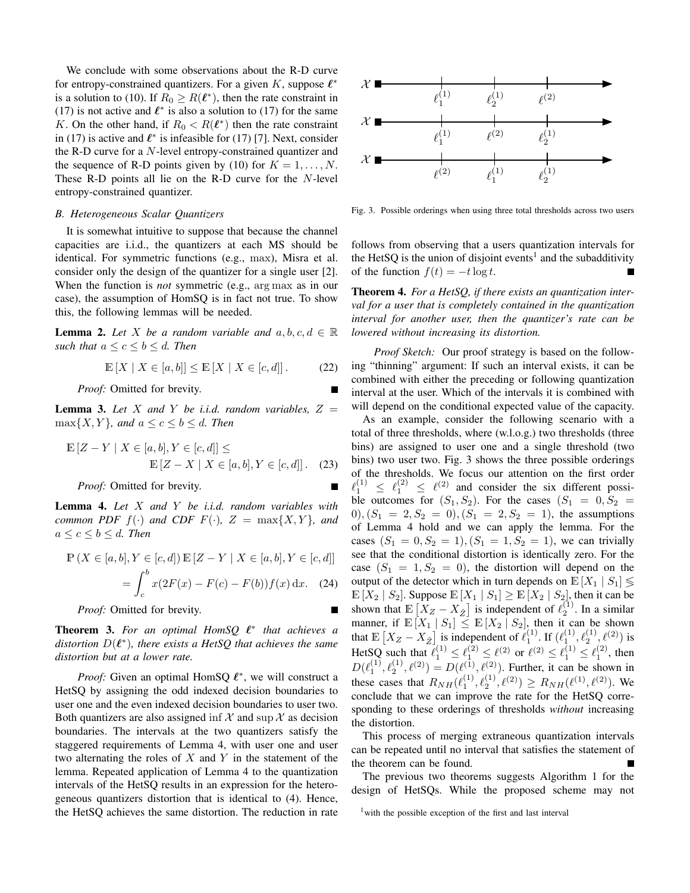We conclude with some observations about the R-D curve for entropy-constrained quantizers. For a given  $K$ , suppose  $\ell^*$ is a solution to (10). If  $R_0 \ge R(\ell^*)$ , then the rate constraint in (17) is not active and  $\ell^*$  is also a solution to (17) for the same K. On the other hand, if  $R_0 < R(\ell^*)$  then the rate constraint in (17) is active and  $\ell^*$  is infeasible for (17) [7]. Next, consider the R-D curve for a N-level entropy-constrained quantizer and the sequence of R-D points given by (10) for  $K = 1, \ldots, N$ . These R-D points all lie on the R-D curve for the N-level entropy-constrained quantizer.

#### *B. Heterogeneous Scalar Quantizers*

It is somewhat intuitive to suppose that because the channel capacities are i.i.d., the quantizers at each MS should be identical. For symmetric functions (e.g., max), Misra et al. consider only the design of the quantizer for a single user [2]. When the function is *not* symmetric (e.g., arg max as in our case), the assumption of HomSQ is in fact not true. To show this, the following lemmas will be needed.

**Lemma 2.** Let X be a random variable and  $a, b, c, d \in \mathbb{R}$ *such that*  $a \leq c \leq b \leq d$ *. Then* 

$$
\mathbb{E}\left[X \mid X \in [a, b]\right] \le \mathbb{E}\left[X \mid X \in [c, d]\right].\tag{22}
$$

*Proof:* Omitted for brevity.

**Lemma 3.** Let X and Y be *i.i.d.* random variables,  $Z =$  $\max\{X, Y\}$ *, and*  $a \leq c \leq b \leq d$ *. Then* 

$$
\mathbb{E}[Z - Y | X \in [a, b], Y \in [c, d]] \le
$$
  

$$
\mathbb{E}[Z - X | X \in [a, b], Y \in [c, d]].
$$
 (23)

*Proof:* Omitted for brevity.

Lemma 4. *Let* X *and* Y *be i.i.d. random variables with common PDF*  $f(\cdot)$  *and CDF*  $F(\cdot)$ *,*  $Z = \max\{X, Y\}$ *, and*  $a \leq c \leq b \leq d$ . Then

$$
\mathbb{P}(X \in [a, b], Y \in [c, d]) \mathbb{E}[Z - Y | X \in [a, b], Y \in [c, d]]
$$
  
= 
$$
\int_{c}^{b} x(2F(x) - F(c) - F(b))f(x) dx.
$$
 (24)

*Proof:* Omitted for brevity.

**Theorem 3.** For an optimal HomSQ  $\ell^*$  that achieves a distortion  $D(\ell^*)$ , there exists a HetSQ that achieves the same *distortion but at a lower rate.*

*Proof:* Given an optimal HomSQ  $\ell^*$ , we will construct a HetSQ by assigning the odd indexed decision boundaries to user one and the even indexed decision boundaries to user two. Both quantizers are also assigned inf  $\mathcal X$  and sup  $\mathcal X$  as decision boundaries. The intervals at the two quantizers satisfy the staggered requirements of Lemma 4, with user one and user two alternating the roles of  $X$  and  $Y$  in the statement of the lemma. Repeated application of Lemma 4 to the quantization intervals of the HetSQ results in an expression for the heterogeneous quantizers distortion that is identical to (4). Hence, the HetSQ achieves the same distortion. The reduction in rate



Fig. 3. Possible orderings when using three total thresholds across two users

follows from observing that a users quantization intervals for the HetSQ is the union of disjoint events<sup>1</sup> and the subadditivity of the function  $f(t) = -t \log t$ .

Theorem 4. *For a HetSQ, if there exists an quantization interval for a user that is completely contained in the quantization interval for another user, then the quantizer's rate can be lowered without increasing its distortion.*

*Proof Sketch:* Our proof strategy is based on the following "thinning" argument: If such an interval exists, it can be combined with either the preceding or following quantization interval at the user. Which of the intervals it is combined with will depend on the conditional expected value of the capacity.

As an example, consider the following scenario with a total of three thresholds, where (w.l.o.g.) two thresholds (three bins) are assigned to user one and a single threshold (two bins) two user two. Fig. 3 shows the three possible orderings of the thresholds. We focus our attention on the first order  $\ell_1^{(1)} \leq \ell_1^{(2)} \leq \ell_2^{(2)}$  and consider the six different possible outcomes for  $(S_1, S_2)$ . For the cases  $(S_1 = 0, S_2 =$  $(0), (S_1 = 2, S_2 = 0), (S_1 = 2, S_2 = 1),$  the assumptions of Lemma 4 hold and we can apply the lemma. For the cases  $(S_1 = 0, S_2 = 1), (S_1 = 1, S_2 = 1)$ , we can trivially see that the conditional distortion is identically zero. For the case  $(S_1 = 1, S_2 = 0)$ , the distortion will depend on the output of the detector which in turn depends on  $\mathbb{E}[X_1 | S_1] \lessgtr$  $\mathbb{E}[X_2 | S_2]$ . Suppose  $\mathbb{E}[X_1 | S_1] \geq \mathbb{E}[X_2 | S_2]$ , then it can be shown that  $\mathbb{E}[X_Z - X_{\hat{Z}}]$  is independent of  $\ell_2^{(1)}$ . In a similar manner, if  $\mathbb{E}[X_1 | S_1] \leq \mathbb{E}[X_2 | S_2]$ , then it can be shown that  $\mathbb{E}[X_Z - X_{\hat{Z}}]$  is independent of  $\ell_1^{(1)}$ . If  $(\ell_1^{(1)}, \ell_2^{(1)}, \ell_3^{(2)})$  is HetSQ such that  $\ell_1^{(1)} \leq \ell_1^{(2)} \leq \ell_2^{(2)}$  or  $\ell_1^{(2)} \leq \ell_1^{(1)} \leq \ell_1^{(2)}$ , then  $D(\ell_1^{(1)}, \ell_2^{(1)}, \ell^{(2)}) = D(\ell_1^{(1)}, \ell_2^{(2)})$ . Further, it can be shown in these cases that  $R_{NH}(\ell_1^{(1)}, \ell_2^{(1)}, \ell^{(2)}) \ge R_{NH}(\ell^{(1)}, \ell^{(2)})$ . We conclude that we can improve the rate for the HetSQ corresponding to these orderings of thresholds *without* increasing the distortion.

This process of merging extraneous quantization intervals can be repeated until no interval that satisfies the statement of the theorem can be found.

The previous two theorems suggests Algorithm 1 for the design of HetSQs. While the proposed scheme may not

<sup>&</sup>lt;sup>1</sup> with the possible exception of the first and last interval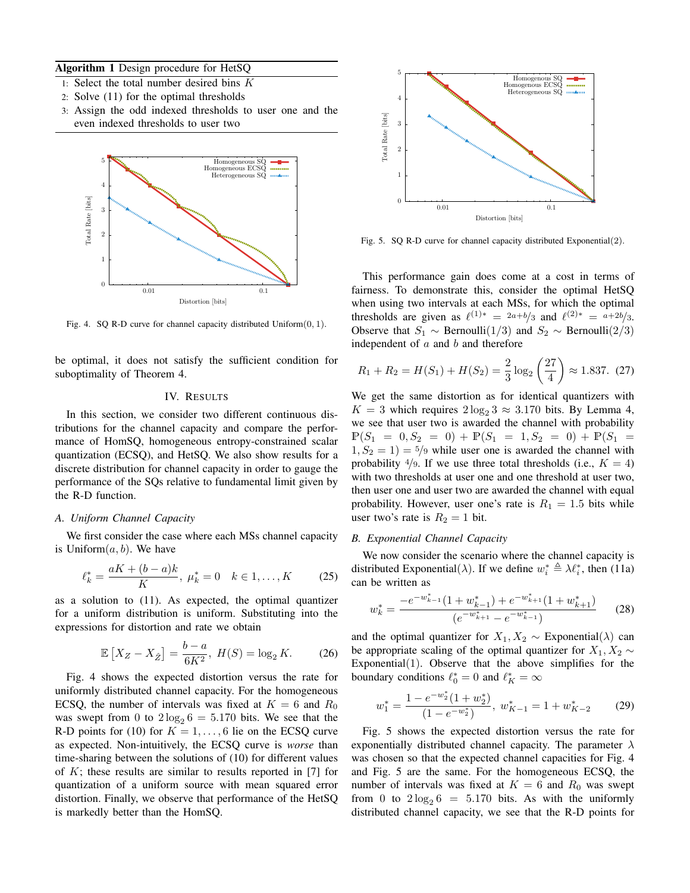# Algorithm 1 Design procedure for HetSQ

- 1: Select the total number desired bins K
- 2: Solve (11) for the optimal thresholds
- 3: Assign the odd indexed thresholds to user one and the even indexed thresholds to user two



Fig. 4. SQ R-D curve for channel capacity distributed  $Uniform(0, 1)$ .

be optimal, it does not satisfy the sufficient condition for suboptimality of Theorem 4.

## IV. RESULTS

In this section, we consider two different continuous distributions for the channel capacity and compare the performance of HomSQ, homogeneous entropy-constrained scalar quantization (ECSQ), and HetSQ. We also show results for a discrete distribution for channel capacity in order to gauge the performance of the SQs relative to fundamental limit given by the R-D function.

# *A. Uniform Channel Capacity*

We first consider the case where each MSs channel capacity is Uniform $(a, b)$ . We have

$$
\ell_k^* = \frac{aK + (b - a)k}{K}, \ \mu_k^* = 0 \quad k \in 1, \dots, K \tag{25}
$$

as a solution to (11). As expected, the optimal quantizer for a uniform distribution is uniform. Substituting into the expressions for distortion and rate we obtain

$$
\mathbb{E}\left[X_Z - X_{\hat{Z}}\right] = \frac{b - a}{6K^2}, \ H(S) = \log_2 K. \tag{26}
$$

Fig. 4 shows the expected distortion versus the rate for uniformly distributed channel capacity. For the homogeneous ECSQ, the number of intervals was fixed at  $K = 6$  and  $R_0$ was swept from 0 to  $2\log_2 6 = 5.170$  bits. We see that the R-D points for (10) for  $K = 1, \ldots, 6$  lie on the ECSQ curve as expected. Non-intuitively, the ECSQ curve is *worse* than time-sharing between the solutions of (10) for different values of  $K$ ; these results are similar to results reported in [7] for quantization of a uniform source with mean squared error distortion. Finally, we observe that performance of the HetSQ is markedly better than the HomSQ.



Fig. 5. SQ R-D curve for channel capacity distributed Exponential(2).

This performance gain does come at a cost in terms of fairness. To demonstrate this, consider the optimal HetSQ when using two intervals at each MSs, for which the optimal thresholds are given as  $\ell^{(1)*} = 2a+b/3$  and  $\ell^{(2)*} = a+2b/3$ . Observe that  $S_1 \sim \text{Bernoulli}(1/3)$  and  $S_2 \sim \text{Bernoulli}(2/3)$ independent of  $a$  and  $b$  and therefore

$$
R_1 + R_2 = H(S_1) + H(S_2) = \frac{2}{3} \log_2 \left(\frac{27}{4}\right) \approx 1.837. \tag{27}
$$

We get the same distortion as for identical quantizers with  $K = 3$  which requires  $2\log_2 3 \approx 3.170$  bits. By Lemma 4, we see that user two is awarded the channel with probability  $\mathbb{P}(S_1 = 0, S_2 = 0) + \mathbb{P}(S_1 = 1, S_2 = 0) + \mathbb{P}(S_1 = 1)$  $1, S_2 = 1$  = 5/9 while user one is awarded the channel with probability  $\frac{4}{9}$ . If we use three total thresholds (i.e.,  $K = 4$ ) with two thresholds at user one and one threshold at user two, then user one and user two are awarded the channel with equal probability. However, user one's rate is  $R_1 = 1.5$  bits while user two's rate is  $R_2 = 1$  bit.

## *B. Exponential Channel Capacity*

We now consider the scenario where the channel capacity is distributed Exponential( $\lambda$ ). If we define  $w_i^* \triangleq \lambda \ell_i^*$ , then (11a) can be written as

$$
w_k^* = \frac{-e^{-w_{k-1}^*}(1+w_{k-1}^*) + e^{-w_{k+1}^*}(1+w_{k+1}^*)}{(e^{-w_{k+1}^*} - e^{-w_{k-1}^*})}
$$
(28)

and the optimal quantizer for  $X_1, X_2 \sim$  Exponential( $\lambda$ ) can be appropriate scaling of the optimal quantizer for  $X_1, X_2 \sim$ Exponential $(1)$ . Observe that the above simplifies for the boundary conditions  $\ell_0^* = 0$  and  $\ell_K^* = \infty$ 

$$
w_1^* = \frac{1 - e^{-w_2^*}(1 + w_2^*)}{(1 - e^{-w_2^*})}, \ w_{K-1}^* = 1 + w_{K-2}^* \tag{29}
$$

Fig. 5 shows the expected distortion versus the rate for exponentially distributed channel capacity. The parameter  $\lambda$ was chosen so that the expected channel capacities for Fig. 4 and Fig. 5 are the same. For the homogeneous ECSQ, the number of intervals was fixed at  $K = 6$  and  $R_0$  was swept from 0 to  $2\log_2 6 = 5.170$  bits. As with the uniformly distributed channel capacity, we see that the R-D points for